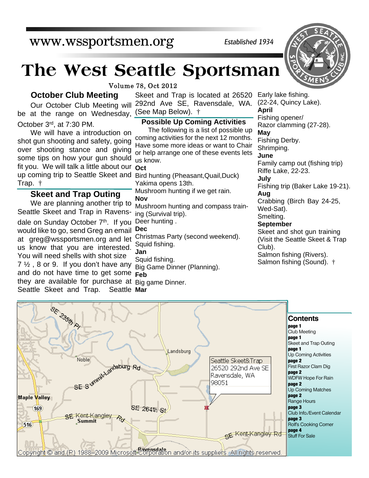# www.wssportsmen.org

**The West Seattle Sportsman**

Volume 78, Oct 2012

### **October Club Meeting**

be at the range on Wednesday, (See Map Below). † Our October Club Meeting will October 3rd, at 7:30 PM.

fit you. We will talk a little about our  $\bm{{\sf oct}}$ up coming trip to Seattle Skeet and Bird hunting (Pheasant,Quail,Duck) We will have a introduction on shot gun shooting and safety, going over shooting stance and giving some tips on how your gun should Trap. †

# **Skeet and Trap Outing**

and do not have time to get some Feb they are available for purchase at Big game Dinner. Seattle Mar We are planning another trip to Seattle Skeet and Trap in Ravensdale on Sunday October  $7<sup>th</sup>$ . If you would like to go, send Greg an email at greg@wssportsmen.org and let us know that you are interested. You will need shells with shot size  $7\frac{1}{2}$ , 8 or 9. If you don't have any Seattle Skeet and Trap.

Skeet and Trap is located at 26520 292nd Ave SE, Ravensdale, WA.

#### **Possible Up Coming Activities**

The following is a list of possible up coming activities for the next 12 months. Have some more ideas or want to Chair or help arrange one of these events lets us know.

Yakima opens 13th. Mushroom hunting if we get rain. **Nov** Mushroom hunting and compass training (Survival trip).

Deer hunting .

**Dec**

Christmas Party (second weekend). Squid fishing.

**Jan**

Squid fishing. Big Game Dinner (Planning).

#### Early lake fishing. (22-24, Quincy Lake).

**April**

Fishing opener/ Razor clamming (27-28).

**May**

Fishing Derby.

Shrimping.

### **June**

Family camp out (fishing trip) Riffe Lake, 22-23.

**July** Fishing trip (Baker Lake 19-21).

#### **Aug**

Crabbing (Birch Bay 24-25, Wed-Sat). Smelting.

### **September**

Skeet and shot gun training (Visit the Seattle Skeet & Trap Club).

Salmon fishing (Rivers).

Salmon fishing (Sound). †





*Established 1934*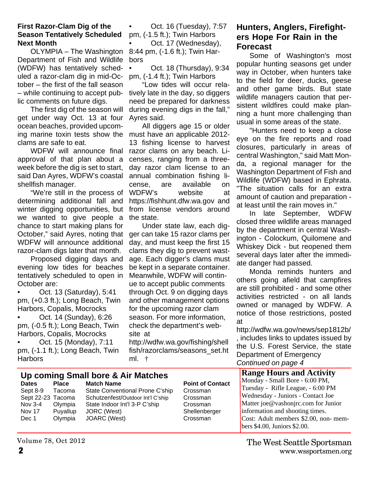#### **First Razor-Clam Dig of the Season Tentatively Scheduled Next Month**

OLYMPIA – The Washington Department of Fish and Wildlife (WDFW) has tentatively scheduled a razor-clam dig in mid-October – the first of the fall season – while continuing to accept public comments on future digs.

The first dig of the season will get under way Oct. 13 at four ocean beaches, provided upcoming marine toxin tests show the clams are safe to eat.

WDFW will announce final approval of that plan about a week before the dig is set to start, said Dan Ayres, WDFW's coastal shellfish manager.

"We're still in the process of determining additional fall and winter digging opportunities, but from license vendors around we wanted to give people a chance to start making plans for October," said Ayres, noting that WDFW will announce additional razor-clam digs later that month.

Proposed digging days and evening low tides for beaches tentatively scheduled to open in October are:

• Oct. 13 (Saturday), 5:41 pm, (+0.3 ft.); Long Beach, Twin Harbors, Copalis, Mocrocks

• Oct. 14 (Sunday), 6:26 pm, (-0.5 ft.); Long Beach, Twin Harbors, Copalis, Mocrocks

• Oct. 15 (Monday), 7:11 pm, (-1.1 ft.); Long Beach, Twin **Harbors** 

• Oct. 16 (Tuesday), 7:57 pm, (-1.5 ft.); Twin Harbors

Oct. 17 (Wednesday), 8:44 pm, (-1.6 ft.); Twin Harbors

• Oct. 18 (Thursday), 9:34 pm, (-1.4 ft.); Twin Harbors

"Low tides will occur relatively late in the day, so diggers need be prepared for darkness during evening digs in the fall," Ayres said.

All diggers age 15 or older must have an applicable 2012- 13 fishing license to harvest razor clams on any beach. Licenses, ranging from a threeday razor clam license to an annual combination fishing license, are available on WDFW's website at https://fishhunt.dfw.wa.gov and the state.

Under state law, each digger can take 15 razor clams per day, and must keep the first 15 clams they dig to prevent wastage. Each digger's clams must be kept in a separate container. Meanwhile, WDFW will continue to accept public comments through Oct. 9 on digging days and other management options for the upcoming razor clam season. For more information, check the department's website at

http://wdfw.wa.gov/fishing/shell fish/razorclams/seasons\_set.ht ml. †

# **Hunters, Anglers, Firefighters Hope For Rain in the Forecast**

Some of Washington's most popular hunting seasons get under way in October, when hunters take to the field for deer, ducks, geese and other game birds. But state wildlife managers caution that persistent wildfires could make planning a hunt more challenging than usual in some areas of the state.

"Hunters need to keep a close eye on the fire reports and road closures, particularly in areas of central Washington," said Matt Monda, a regional manager for the Washington Department of Fish and Wildlife (WDFW) based in Ephrata. "The situation calls for an extra amount of caution and preparation at least until the rain moves in."

In late September, WDFW closed three wildlife areas managed by the department in central Washington - Colockum, Quilomene and Whiskey Dick - but reopened them several days later after the immediate danger had passed.

Monda reminds hunters and others going afield that campfires are still prohibited - and some other activities restricted - on all lands owned or managed by WDFW. A notice of those restrictions, posted at

http://wdfw.wa.gov/news/sep1812b/ , includes links to updates issued by the U.S. Forest Service, the state Department of Emergency *Continued on page 4*

**Up coming Small bore & Air Matches Dates Place Match Name Point of Contact Sept 8-9 Tacoma State Conventional Prone C'ship Crossman** Tacoma State Conventional Prone C'ship Crossman Sept 22-23 Tacoma Schutzenfest/Outdoor Int'l C'ship Crossman Nov 3-4 Olympia State Indoor Int'l 3-P C'ship Crossman Nov 17 Puyallup JORC (West) Shellenberger Dec 1 Olympia JOARC (West) Crossman **Range Hours and Activity** Monday - Small Bore - 6:00 PM, Tuesday - Rifle League, - 6:00 PM Wednesday - Juniors - Contact Joe Matter joe@vashonjrc.com for Junior information and shooting times. Cost: Adult members \$2.00, non- members \$4.00, Juniors \$2.00.

Volume 78, Oct 2012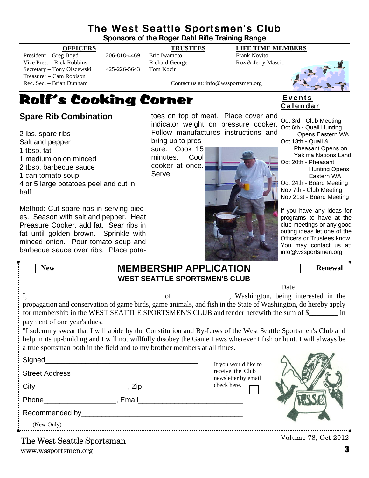# **The West Seattle Sportsmen's Club**

**Sponsors of the Roger Dahl Rifle Training Range**

President – Greg Boyd 206-818-4469 Eric Iwamoto Frank Novito<br>
Vice Pres. – Rick Robbins Richard George Roz & Jerry Mascio Vice Pres. – Rick Robbins Richard George Secretary – Tony Olszewski 425-226-5643 Tom Kocir Treasurer – Cam Robison<br>Rec. Sec. – Brian Dunham

**OFFICERS TRUSTEES LIFE TIME MEMBERS**

Contact us at: info@wssportsmen.org

# Rolf's Cooking Corner

# **Spare Rib Combination**

2 lbs. spare ribs Salt and pepper 1 tbsp. fat 1 medium onion minced 2 tbsp. barbecue sauce 1 can tomato soup 4 or 5 large potatoes peel and cut in half

Method: Cut spare ribs in serving pieces. Season with salt and pepper. Heat Preasure Cooker, add fat. Sear ribs in fat until golden brown. Sprinkle with minced onion. Pour tomato soup and barbecue sauce over ribs. Place pota-



sure. Cook 15 minutes. Cool cooker at once. Serve.



Oct 3rd - Club Meeting Oct 6th - Quail Hunting Opens Eastern WA Oct 13th - Quail & Pheasant Opens on Yakima Nations Land Oct 20th - Pheasant Hunting Opens Eastern WA Oct 24th - Board Meeting Nov 7th - Club Meeting Nov 21st - Board Meeting

**E v e n t s C a l e n d a r**

If you have any ideas for programs to have at the club meetings or any good outing ideas let one of the Officers or Trustees know. You may contact us at: info@wssportsmen.org

| <b>MEMBERSHIP APPLICATION</b><br><b>New</b><br><b>WEST SEATTLE SPORTSMEN'S CLUB</b>                                                                                                                                                                                                                            |                                                                 | <b>Renewal</b>      |
|----------------------------------------------------------------------------------------------------------------------------------------------------------------------------------------------------------------------------------------------------------------------------------------------------------------|-----------------------------------------------------------------|---------------------|
|                                                                                                                                                                                                                                                                                                                | <b>Date</b>                                                     |                     |
| for membership in the WEST SEATTLE SPORTSMEN'S CLUB and tender herewith the sum of \$________ in<br>payment of one year's dues.                                                                                                                                                                                |                                                                 |                     |
| "I solemnly swear that I will abide by the Constitution and By-Laws of the West Seattle Sportsmen's Club and<br>help in its up-building and I will not willfully disobey the Game Laws wherever I fish or hunt. I will always be<br>a true sportsman both in the field and to my brother members at all times. |                                                                 |                     |
|                                                                                                                                                                                                                                                                                                                |                                                                 |                     |
| Street Address New York Changes and Street Address                                                                                                                                                                                                                                                             | If you would like to<br>receive the Club<br>newsletter by email |                     |
|                                                                                                                                                                                                                                                                                                                | check here.                                                     |                     |
| Phone Reserves and Phone Reserves and Phone Reserves and Phone Reserves and Phone Reserves and Phone Reserves                                                                                                                                                                                                  |                                                                 |                     |
|                                                                                                                                                                                                                                                                                                                |                                                                 |                     |
| (New Only)                                                                                                                                                                                                                                                                                                     |                                                                 |                     |
| The West Seattle Sportsman                                                                                                                                                                                                                                                                                     |                                                                 | Volume 78, Oct 2012 |

www.wssportsmen.org **3** The West Seattle Sportsman